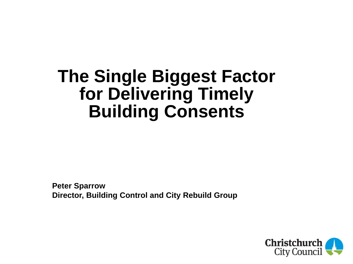# **The Single Biggest Factor for Delivering Timely Building Consents**

**Peter Sparrow Director, Building Control and City Rebuild Group**

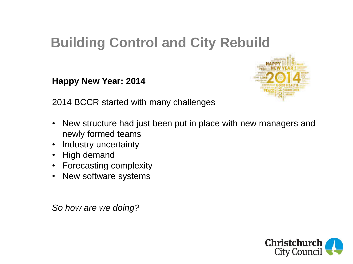## **Building Control and City Rebuild**

**Happy New Year: 2014**



2014 BCCR started with many challenges

- New structure had just been put in place with new managers and newly formed teams
- Industry uncertainty
- High demand
- Forecasting complexity
- New software systems

*So how are we doing?*

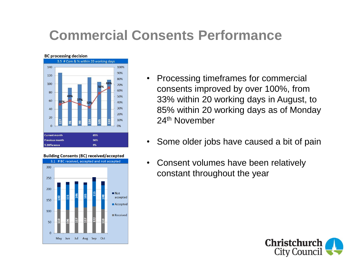## **Commercial Consents Performance**



#### **Building Consents (BC) received/accepted** 3.1 # BC received, accepted and not accepted 300 250 200  $\blacksquare$  Not accepted 150 Accepted 100 Received 50  $\mathbf{0}$ May Jun Jul Aug Sep Oct

- Processing timeframes for commercial consents improved by over 100%, from 33% within 20 working days in August, to 85% within 20 working days as of Monday 24th November
- Some older jobs have caused a bit of pain
- Consent volumes have been relatively constant throughout the year

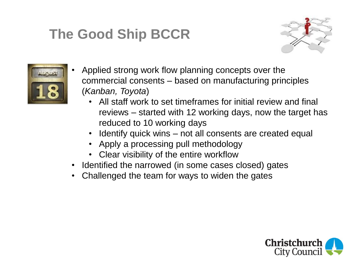## **The Good Ship BCCR**





- Applied strong work flow planning concepts over the commercial consents – based on manufacturing principles (*Kanban, Toyota*)
	- All staff work to set timeframes for initial review and final reviews – started with 12 working days, now the target has reduced to 10 working days
	- Identify quick wins not all consents are created equal
	- Apply a processing pull methodology
	- Clear visibility of the entire workflow
- Identified the narrowed (in some cases closed) gates
- Challenged the team for ways to widen the gates

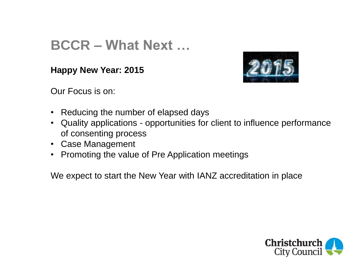## **BCCR – What Next …**

**Happy New Year: 2015**



Our Focus is on:

- Reducing the number of elapsed days
- Quality applications opportunities for client to influence performance of consenting process
- Case Management
- Promoting the value of Pre Application meetings

We expect to start the New Year with IANZ accreditation in place